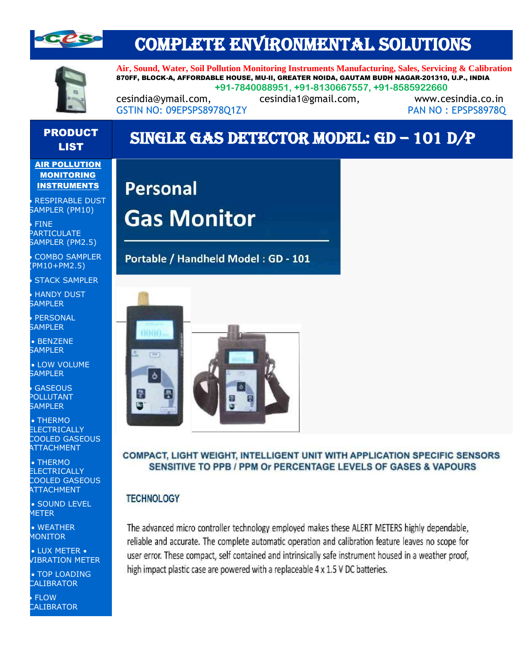

## COMPLETE ENVIRONMENTAL SOLUTIONS



**Air, Sound, Water, Soil Pollution Monitoring Instruments Manufacturing, Sales, Servicing & Calibration** 870FF, BLOCK-A, AFFORDABLE HOUSE, MU-II, GREATER NOIDA, GAUTAM BUDH NAGAR-201310, U.P., INDIA **+91-7840088951, +91-8130667557, +91-8585922660**

cesindia@ymail.com, cesindia1@gmail.com, www.cesindia.co.in GSTIN NO: 09EPSPS8978O1ZY PAN NO : EPSPS8978Q

# PRODUCT

#### **AIR POLLUTION MONITORING** INSTRUMENTS

• • RESPIRABLE DUST SAMPLER (PM10)

• • FINE PARTICULATE SAMPLER (PM2.5)

COMBO SAMPLER (PM10+PM2.5)

**STACK SAMPLER** 

**HANDY DUST SAMPLER** 

**PERSONAL SAMPLER** 

 $\bullet$  BENZENE **SAMPLER** 

• LOW VOLUME **SAMPLER** 

**GASEOUS** POLLUTANT SAMPLER

• • THERMO **ELECTRICALLY** COOLED GASEOUS **ATTACHMENT** 

• • THERMO **ELECTRICALLY** COOLED GASEOUS **ATTACHMENT** 

• SOUND LEVEL METER

• WEATHER MONITOR

• LUX METER • VIBRATION METER

• TOP LOADING **CALIBRATOR** 

**FLOW CALIBRATOR** 

## CODUCT SINGLE GAS DETECTOR MODEL: GD – 101 D/P

**Personal Gas Monitor** 

Portable / Handheld Model: GD - 101



### COMPACT, LIGHT WEIGHT, INTELLIGENT UNIT WITH APPLICATION SPECIFIC SENSORS SENSITIVE TO PPB / PPM Or PERCENTAGE LEVELS OF GASES & VAPOURS

 $\overline{\phantom{a}}$ 

### **TECHNOLOGY**

The advanced micro controller technology employed makes these ALERT METERS highly dependable, reliable and accurate. The complete automatic operation and calibration feature leaves no scope for user error. These compact, self contained and intrinsically safe instrument housed in a weather proof, high impact plastic case are powered with a replaceable 4 x 1.5 V DC batteries.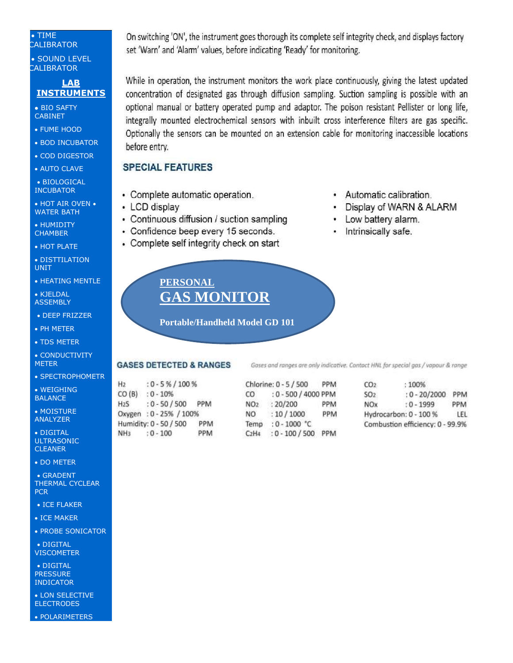#### • • TIME **CALIBRATOR**

• SOUND LEVEL **CALIBRATOR** 

#### **LAB INSTRUMENTS**

• BIO SAFTY CABINET

- FUME HOOD
- BOD INCUBATOR
- COD DIGESTOR
- AUTO CLAVE

• BIOLOGICAL **INCUBATOR** 

- HOT AIR OVEN WATER BATH
- HUMIDITY **CHAMBER**
- HOT PLATE
- DISTTILATION UNIT
- HEATING MENTLE
- KJELDAL **ASSEMBLY**
- DEEP FRIZZER
- PH METER
- TDS METER
- CONDUCTIVITY METER
- SPECTROPHOMETR

• WEIGHING **BALANCE** 

• MOISTURE ANALYZER

• DIGITAL **ULTRASONIC CLEANER** 

• DO METER

• GRADENT THERMAL CYCLEAR **PCR** 

- ICE FLAKER
- ICE MAKER
- PROBE SONICATOR

• DIGITAL **VISCOMETER** 

• DIGITAL **PRESSURE** INDICATOR

• LON SELECTIVE ELECTRODES

• POLARIMETERS

On switching 'ON', the instrument goes thorough its complete self integrity check, and displays factory set 'Warn' and 'Alarm' values, before indicating 'Ready' for monitoring.

While in operation, the instrument monitors the work place continuously, giving the latest updated concentration of designated gas through diffusion sampling. Suction sampling is possible with an optional manual or battery operated pump and adaptor. The poison resistant Pellister or long life, integrally mounted electrochemical sensors with inbuilt cross interference filters are gas specific. Optionally the sensors can be mounted on an extension cable for monitoring inaccessible locations before entry.

### **SPECIAL FEATURES**

- Complete automatic operation.
- LCD display
- Continuous diffusion / suction sampling
- Confidence beep every 15 seconds.
- Complete self integrity check on start
	- **PERSONAL GAS MONITOR**

**Portable/Handheld Model GD 101**

#### **GASES DETECTED & RANGES**

 $H<sub>2</sub>$  $:0.5\% / 100\%$  $CO(B)$  :  $0 - 10\%$  $H<sub>25</sub>$  $: 0 - 50 / 500$  PPM Oxygen: 0 - 25% / 100% Humidity: 0 - 50 / 500 PPM NH<sub>3</sub>  $: 0 - 100$ PPM

Chlorine: 0 - 5 / 500 PPM  $CO$ : 0 - 500 / 4000 PPM NO<sub>2</sub> : 20/200 PPM NO.  $:10/1000$ PPM Temp : 0 - 1000 °C C2H4 : 0 - 100 / 500 PPM

 $CO<sub>2</sub>$ : 100%  $SO<sub>2</sub>$ : 0 - 20/2000 PPM **NOx**  $: 0 - 1999$ PPM Hydrocarbon: 0 - 100 % LEL Combustion efficiency: 0 - 99.9%

## Automatic calibration.

- Display of WARN & ALARM
- Low battery alarm.
- Intrinsically safe.

Gases and ranges are only indicative. Contact HNL for special gas / vapour & range